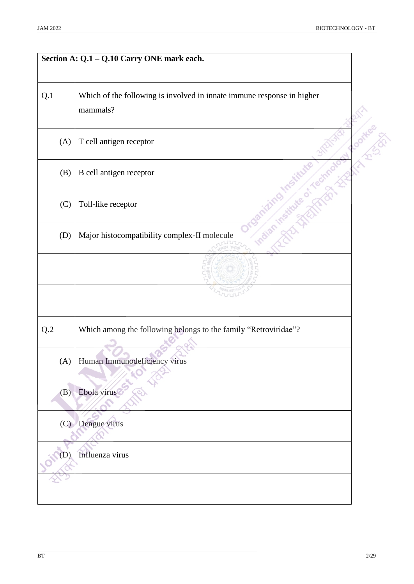|                | Section A: Q.1 - Q.10 Carry ONE mark each.                                         |
|----------------|------------------------------------------------------------------------------------|
| Q.1            | Which of the following is involved in innate immune response in higher<br>mammals? |
| (A)            | T cell antigen receptor                                                            |
| (B)            | B cell antigen receptor                                                            |
| (C)            | Toll-like receptor                                                                 |
| (D)            | Major histocompatibility complex-II molecule                                       |
|                |                                                                                    |
|                |                                                                                    |
| $\mathrm{Q}.2$ | Which among the following belongs to the family "Retroviridae"?                    |
|                | (A) Human Immunodeficiency virus                                                   |
| (B)            | Ebola virus                                                                        |
| (C)            | Dengue virus                                                                       |
|                | Influenza virus                                                                    |
|                |                                                                                    |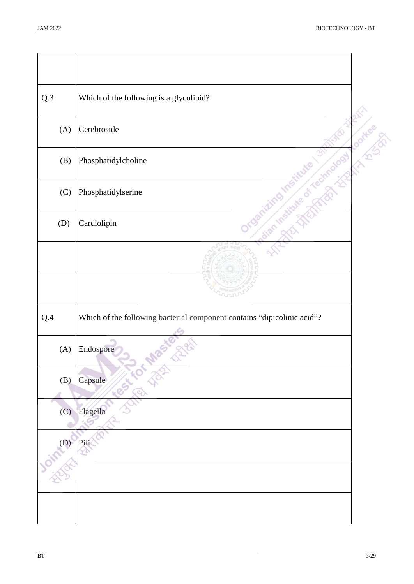| Q.3 | Which of the following is a glycolipid?                                 |                         |
|-----|-------------------------------------------------------------------------|-------------------------|
| (A) | Cerebroside                                                             | <b>Contract Service</b> |
| (B) | Phosphatidylcholine                                                     |                         |
| (C) | Phosphatidylserine                                                      |                         |
| (D) | Cardiolipin                                                             |                         |
|     |                                                                         |                         |
|     |                                                                         |                         |
| Q.4 | Which of the following bacterial component contains "dipicolinic acid"? |                         |
| (A) | Endospore                                                               |                         |
| (B) | Capsule                                                                 |                         |
| (C) | Flagella                                                                |                         |
| (D) | Pili                                                                    |                         |
|     |                                                                         |                         |
|     |                                                                         |                         |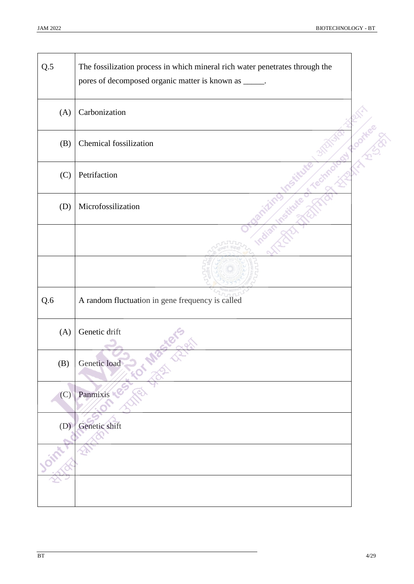$\overline{\phantom{0}}$ 

| $Q.5$   | The fossilization process in which mineral rich water penetrates through the<br>pores of decomposed organic matter is known as _____. |  |
|---------|---------------------------------------------------------------------------------------------------------------------------------------|--|
| (A)     | Carbonization                                                                                                                         |  |
| (B)     | Chemical fossilization                                                                                                                |  |
| (C)     | Petrifaction                                                                                                                          |  |
| (D)     | Microfossilization                                                                                                                    |  |
|         |                                                                                                                                       |  |
|         |                                                                                                                                       |  |
| $Q.6\,$ | A random fluctuation in gene frequency is called                                                                                      |  |
| (A)     | Genetic drift                                                                                                                         |  |
| (B)     | Genetic load                                                                                                                          |  |
| (C)     | Panmixis                                                                                                                              |  |
| (D)     | Genetic shift                                                                                                                         |  |
|         |                                                                                                                                       |  |
|         |                                                                                                                                       |  |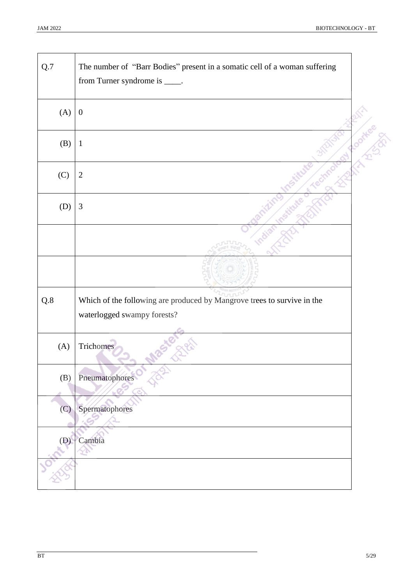| Q.7            | The number of "Barr Bodies" present in a somatic cell of a woman suffering<br>from Turner syndrome is _____. |  |
|----------------|--------------------------------------------------------------------------------------------------------------|--|
| (A)            | $\boldsymbol{0}$                                                                                             |  |
| (B)            | $\mathbf{1}$                                                                                                 |  |
| (C)            | $\mathbf{2}$                                                                                                 |  |
| (D)            | $\mathfrak{Z}$                                                                                               |  |
|                |                                                                                                              |  |
|                |                                                                                                              |  |
| $\mathrm{Q.8}$ | Which of the following are produced by Mangrove trees to survive in the<br>waterlogged swampy forests?       |  |
| (A)            | Trichomes                                                                                                    |  |
| (B)            | Pneumatophores                                                                                               |  |
| (C)            | Spermatophores                                                                                               |  |
| (D)            | Cambia<br>ΥÞ                                                                                                 |  |
|                |                                                                                                              |  |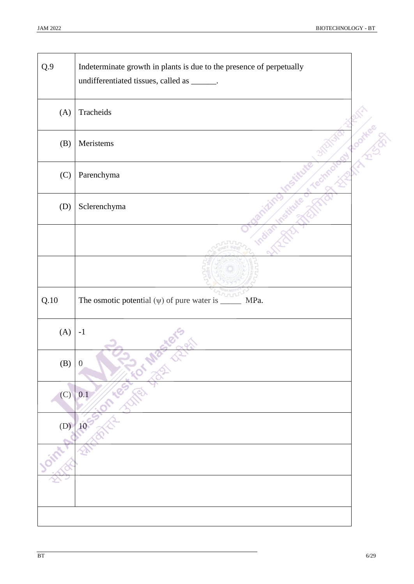| Q.9          | Indeterminate growth in plants is due to the presence of perpetually<br>undifferentiated tissues, called as ______. |         |
|--------------|---------------------------------------------------------------------------------------------------------------------|---------|
| (A)          | Tracheids                                                                                                           |         |
| (B)          | Meristems                                                                                                           | ootkeer |
| (C)          | Parenchyma                                                                                                          |         |
| (D)          | Sclerenchyma                                                                                                        |         |
|              |                                                                                                                     |         |
|              |                                                                                                                     |         |
|              |                                                                                                                     |         |
| Q.10         | The osmotic potential $(\psi)$ of pure water is $\frac{1}{\sqrt{2\pi}}$<br>MPa.                                     |         |
| (A)          | $-1$                                                                                                                |         |
| $(B) \mid 0$ |                                                                                                                     |         |
| (C)          | a Ka<br>0.1                                                                                                         |         |
| (D)          | 10 <sup>°</sup>                                                                                                     |         |
|              |                                                                                                                     |         |
|              |                                                                                                                     |         |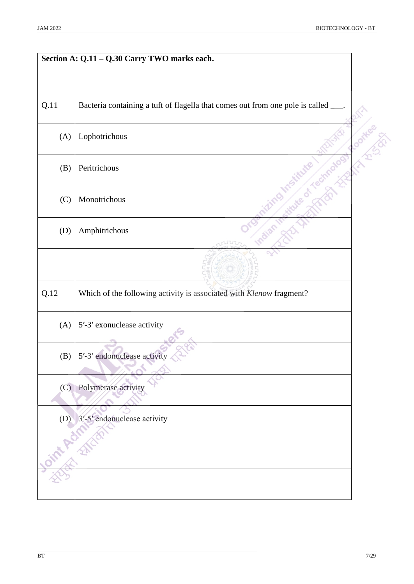|      | Section A: Q.11 - Q.30 Carry TWO marks each.                                       |   |
|------|------------------------------------------------------------------------------------|---|
|      |                                                                                    |   |
| Q.11 | Bacteria containing a tuft of flagella that comes out from one pole is called ___. |   |
| (A)  | Lophotrichous                                                                      | Ŷ |
| (B)  | Peritrichous                                                                       |   |
| (C)  | Monotrichous                                                                       |   |
| (D)  | Amphitrichous<br>ruun                                                              |   |
|      |                                                                                    |   |
| Q.12 | Which of the following activity is associated with Klenow fragment?                |   |
| (A)  | 5'-3' exonuclease activity                                                         |   |
| (B)  | 5'-3' endonuclease activity                                                        |   |
| (C)  | Polymerase activity                                                                |   |
| (D)  | 3'-5' endonuclease activity                                                        |   |
|      |                                                                                    |   |
|      |                                                                                    |   |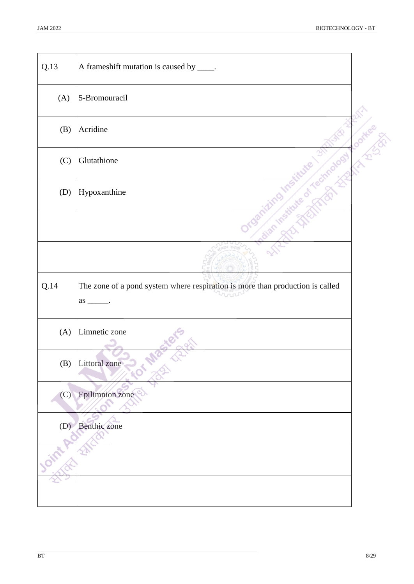| Q.13 | A frameshift mutation is caused by _____.                                            |                        |
|------|--------------------------------------------------------------------------------------|------------------------|
| (A)  | 5-Bromouracil                                                                        |                        |
| (B)  | Acridine                                                                             | and of the contract of |
| (C)  | Glutathione                                                                          |                        |
| (D)  | Hypoxanthine                                                                         |                        |
|      |                                                                                      |                        |
|      |                                                                                      |                        |
| Q.14 | The zone of a pond system where respiration is more than production is called<br>ron |                        |
|      |                                                                                      |                        |
| (A)  | Limnetic zone                                                                        |                        |
|      | (B) Littoral zone                                                                    |                        |
| (C)  | Epilimnion zone                                                                      |                        |
| (D)  | Benthic zone                                                                         |                        |
|      |                                                                                      |                        |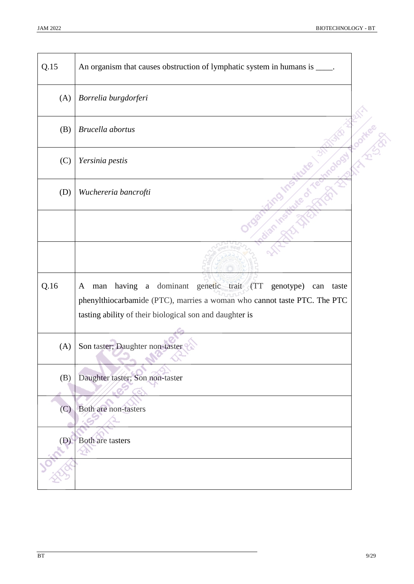| Q.15 | An organism that causes obstruction of lymphatic system in humans is _____.                                                                                                                                         |    |
|------|---------------------------------------------------------------------------------------------------------------------------------------------------------------------------------------------------------------------|----|
| (A)  | Borrelia burgdorferi                                                                                                                                                                                                |    |
| (B)  | Brucella abortus                                                                                                                                                                                                    | J) |
| (C)  | Yersinia pestis                                                                                                                                                                                                     |    |
| (D)  | Wuchereria bancrofti                                                                                                                                                                                                |    |
|      |                                                                                                                                                                                                                     |    |
|      |                                                                                                                                                                                                                     |    |
| Q.16 | having<br>a dominant genetic trait (TT genotype)<br>man<br>taste<br>A<br>can<br>phenylthiocarbamide (PTC), marries a woman who cannot taste PTC. The PTC<br>tasting ability of their biological son and daughter is |    |
| (A)  | Son taster; Daughter non-taster                                                                                                                                                                                     |    |
| (B)  | Daughter taster; Son non-taster                                                                                                                                                                                     |    |
| (C)  | Both are non-tasters                                                                                                                                                                                                |    |
| (D)  | Both are tasters<br>YE                                                                                                                                                                                              |    |
|      |                                                                                                                                                                                                                     |    |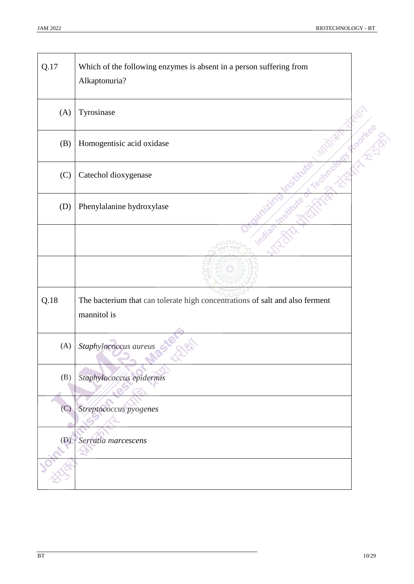| Q.17 | Which of the following enzymes is absent in a person suffering from<br>Alkaptonuria?        |   |
|------|---------------------------------------------------------------------------------------------|---|
| (A)  | Tyrosinase                                                                                  |   |
| (B)  | Homogentisic acid oxidase                                                                   | Q |
| (C)  | Catechol dioxygenase                                                                        |   |
| (D)  | Phenylalanine hydroxylase                                                                   |   |
|      |                                                                                             |   |
|      |                                                                                             |   |
| Q.18 | The bacterium that can tolerate high concentrations of salt and also ferment<br>mannitol is |   |
| (A)  | Staphylococcus aureus                                                                       |   |
| (B)  | Staphylococcus epidermis                                                                    |   |
| (C)  | Streptococcus pyogenes                                                                      |   |
| (D)  | Serratia marcescens                                                                         |   |
|      |                                                                                             |   |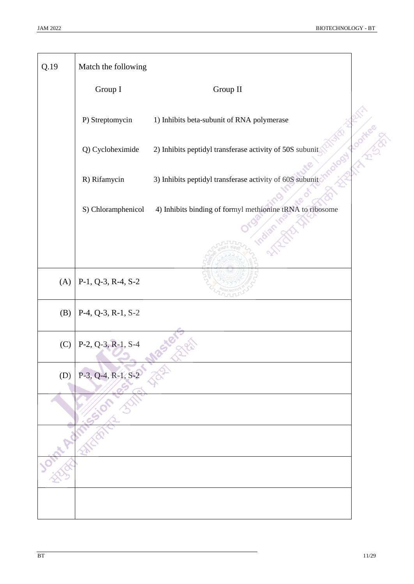| Q.19 | Match the following  |                                                                                |
|------|----------------------|--------------------------------------------------------------------------------|
|      | Group I              | Group II                                                                       |
|      | P) Streptomycin      | 1) Inhibits beta-subunit of RNA polymerase                                     |
|      | Q) Cycloheximide     | <b>BATTLE BOOK</b><br>2) Inhibits peptidyl transferase activity of 50S subunit |
|      | R) Rifamycin         | 3) Inhibits peptidyl transferase activity of 60S subunit                       |
|      | S) Chloramphenicol   | 4) Inhibits binding of formyl methionine tRNA to ribosome<br><b>Mill</b>       |
|      |                      |                                                                                |
| (A)  | P-1, Q-3, R-4, S-2   |                                                                                |
| (B)  | P-4, Q-3, R-1, S-2   |                                                                                |
| (C)  | $P-2, Q-3, R-1, S-4$ |                                                                                |
| (D)  | $P-3, Q-4, R-1, S-2$ |                                                                                |
|      |                      |                                                                                |
|      |                      |                                                                                |
|      |                      |                                                                                |
|      |                      |                                                                                |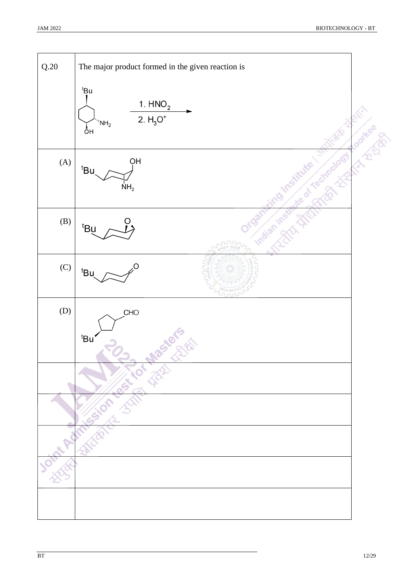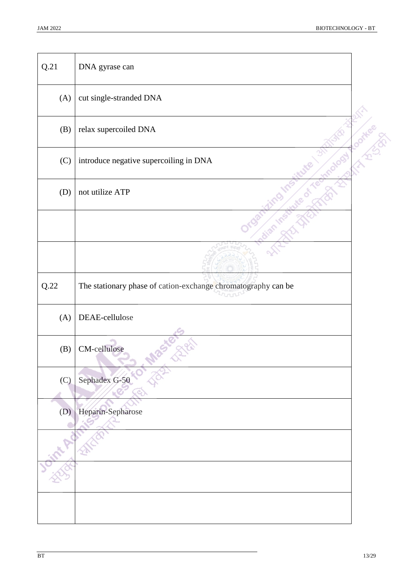| Q.21   | DNA gyrase can                                                |              |
|--------|---------------------------------------------------------------|--------------|
| (A)    | cut single-stranded DNA                                       |              |
| (B)    | relax supercoiled DNA                                         | <sup>1</sup> |
| (C)    | introduce negative supercoiling in DNA                        |              |
| (D)    | not utilize ATP                                               |              |
|        |                                                               |              |
|        |                                                               |              |
| $Q.22$ | The stationary phase of cation-exchange chromatography can be |              |
| (A)    | DEAE-cellulose                                                |              |
| (B)    | CM-cellulose                                                  |              |
| (C)    | Sephadex G-50                                                 |              |
| (D)    | Heparin-Sepharose                                             |              |
|        |                                                               |              |
|        |                                                               |              |
|        |                                                               |              |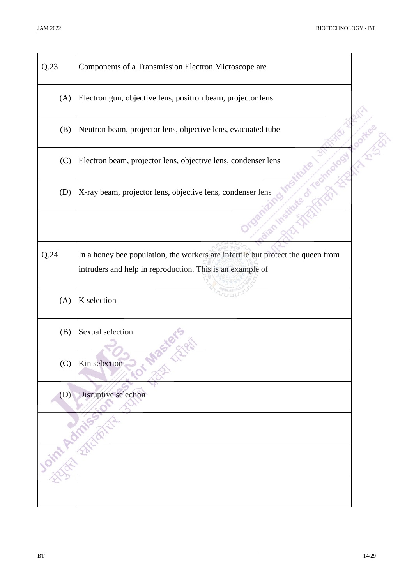| Q.23 | Components of a Transmission Electron Microscope are                            |     |
|------|---------------------------------------------------------------------------------|-----|
| (A)  | Electron gun, objective lens, positron beam, projector lens                     |     |
| (B)  | Neutron beam, projector lens, objective lens, evacuated tube                    | l V |
| (C)  | Electron beam, projector lens, objective lens, condenser lens                   |     |
| (D)  | X-ray beam, projector lens, objective lens, condenser lens                      |     |
|      |                                                                                 |     |
| Q.24 | In a honey bee population, the workers are infertile but protect the queen from |     |
|      | intruders and help in reproduction. This is an example of                       |     |
|      |                                                                                 |     |
| (A)  | K selection                                                                     |     |
| (B)  | Sexual selection                                                                |     |
| (C)  | Kin selection                                                                   |     |
| (D)  | Disruptive selection                                                            |     |
|      |                                                                                 |     |
|      |                                                                                 |     |
|      |                                                                                 |     |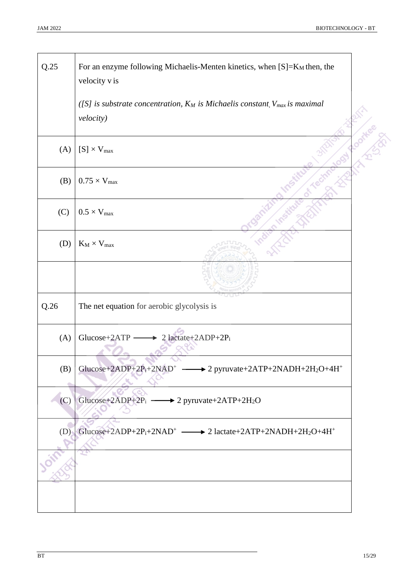╲

| Q.25 | For an enzyme following Michaelis-Menten kinetics, when $[S]=K_M$ then, the<br>velocity v is<br>([S] is substrate concentration, $K_M$ is Michaelis constant, $V_{max}$ is maximal<br>velocity) |  |
|------|-------------------------------------------------------------------------------------------------------------------------------------------------------------------------------------------------|--|
| (A)  | $[S] \times V_{max}$                                                                                                                                                                            |  |
| (B)  | $0.75\times V_{max}$                                                                                                                                                                            |  |
| (C)  | $0.5 \times V_{max}$                                                                                                                                                                            |  |
| (D)  | $K_M \times V_{max}$                                                                                                                                                                            |  |
|      |                                                                                                                                                                                                 |  |
| Q.26 | The net equation for aerobic glycolysis is                                                                                                                                                      |  |
| (A)  | 2 lactate+2ADP+2P <sub>i</sub><br>Glucose+2ATP                                                                                                                                                  |  |
| (B)  | Glucose+2ADP+2P <sub>i</sub> +2NAD <sup>+</sup> $\longrightarrow$ 2 pyruvate+2ATP+2NADH+2H <sub>2</sub> O+4H <sup>+</sup>                                                                       |  |
| (C)  | Glucose+2ADP+2P <sub>i</sub> $\longrightarrow$ 2 pyruvate+2ATP+2H <sub>2</sub> O                                                                                                                |  |
| (D)  | Glucose+2ADP+2P <sub>i</sub> +2NAD <sup>+</sup> $\longrightarrow$ 2 lactate+2ATP+2NADH+2H <sub>2</sub> O+4H <sup>+</sup>                                                                        |  |
|      |                                                                                                                                                                                                 |  |
|      |                                                                                                                                                                                                 |  |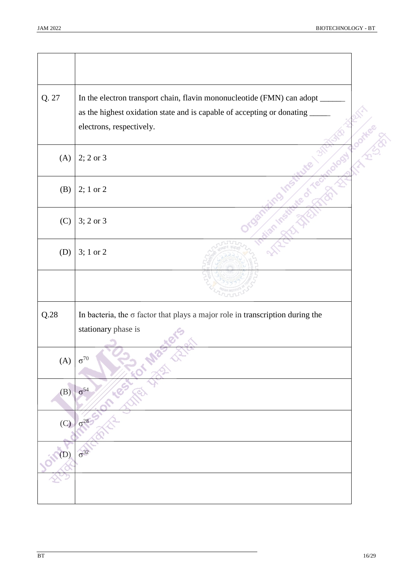| Q. 27 | In the electron transport chain, flavin mononucleotide (FMN) can adopt               |
|-------|--------------------------------------------------------------------------------------|
|       | as the highest oxidation state and is capable of accepting or donating               |
|       | electrons, respectively.                                                             |
| (A)   | $2; 2 \text{ or } 3$                                                                 |
| (B)   | 2; 1 or 2                                                                            |
| (C)   | $3; 2 \text{ or } 3$                                                                 |
| (D)   | 3; 1 or 2                                                                            |
|       |                                                                                      |
| Q.28  | In bacteria, the $\sigma$ factor that plays a major role in transcription during the |
|       | stationary phase is                                                                  |
|       |                                                                                      |
| (A)   | $\sigma^{70}$                                                                        |
| (B)   | $\sigma^{54}$                                                                        |
| (C)   | $\sigma^{28}$                                                                        |
| (D)   | $\sigma^{32}$                                                                        |
|       |                                                                                      |
|       |                                                                                      |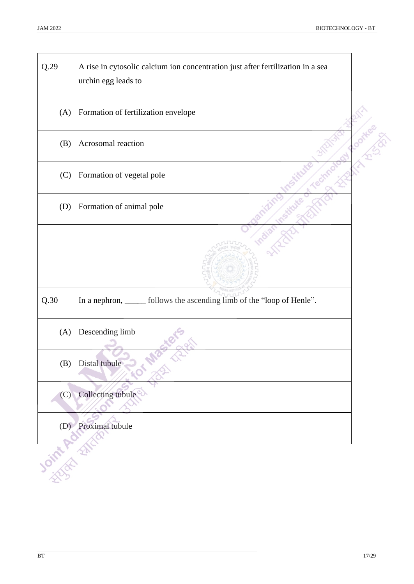| Q.29       | A rise in cytosolic calcium ion concentration just after fertilization in a sea<br>urchin egg leads to |                |
|------------|--------------------------------------------------------------------------------------------------------|----------------|
| (A)        | Formation of fertilization envelope                                                                    |                |
| (B)        | Acrosomal reaction                                                                                     | <b>HARCHES</b> |
| (C)        | Formation of vegetal pole                                                                              |                |
| (D)        | Formation of animal pole                                                                               |                |
|            |                                                                                                        |                |
|            |                                                                                                        |                |
| Q.30       | In a nephron, settled in follows the ascending limb of the "loop of Henle".                            |                |
| (A)        | Descending limb                                                                                        |                |
| (B)        | Distal tubule                                                                                          |                |
| (C)        | Collecting tubule                                                                                      |                |
| (D)        | Proximal tubule                                                                                        |                |
| Charles R. |                                                                                                        |                |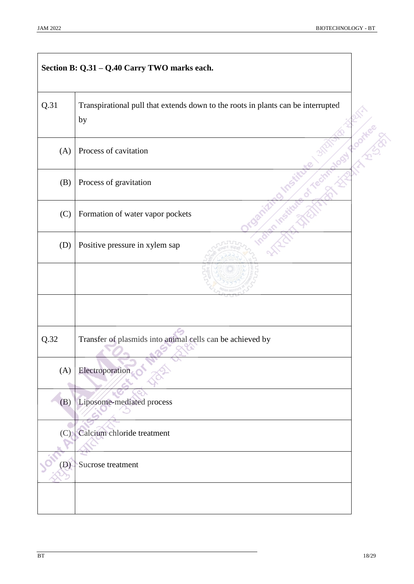|      | Section B: Q.31 - Q.40 Carry TWO marks each.                                           |  |
|------|----------------------------------------------------------------------------------------|--|
| Q.31 | Transpirational pull that extends down to the roots in plants can be interrupted<br>by |  |
| (A)  | Process of cavitation                                                                  |  |
| (B)  | Process of gravitation                                                                 |  |
| (C)  | Formation of water vapor pockets                                                       |  |
| (D)  | Positive pressure in xylem sap                                                         |  |
|      |                                                                                        |  |
|      |                                                                                        |  |
| Q.32 | Transfer of plasmids into animal cells can be achieved by                              |  |
| (A)  | Electroporation                                                                        |  |
| (B)  | Liposome-mediated process                                                              |  |
| (C)  | Calcium chloride treatment                                                             |  |
| (D)  | Sucrose treatment                                                                      |  |
|      |                                                                                        |  |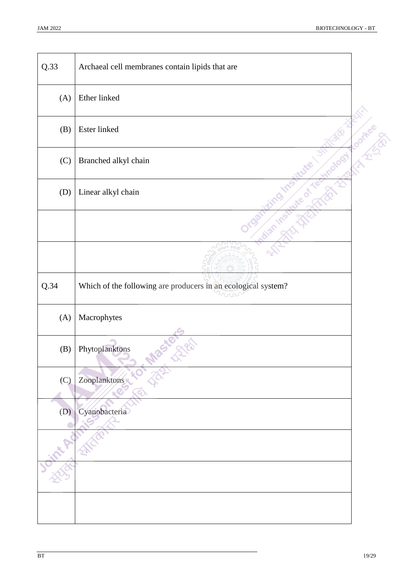| Q.33 | Archaeal cell membranes contain lipids that are               |             |
|------|---------------------------------------------------------------|-------------|
| (A)  | Ether linked                                                  |             |
| (B)  | Ester linked                                                  | <b>OFHE</b> |
| (C)  | Branched alkyl chain                                          |             |
| (D)  | Linear alkyl chain                                            |             |
|      |                                                               |             |
|      |                                                               |             |
| Q.34 | Which of the following are producers in an ecological system? |             |
| (A)  | Macrophytes                                                   |             |
| (B)  | Phytoplanktons                                                |             |
| (C)  | Zooplanktons                                                  |             |
| (D)  | Cyanobacteria                                                 |             |
|      |                                                               |             |
|      |                                                               |             |
|      |                                                               |             |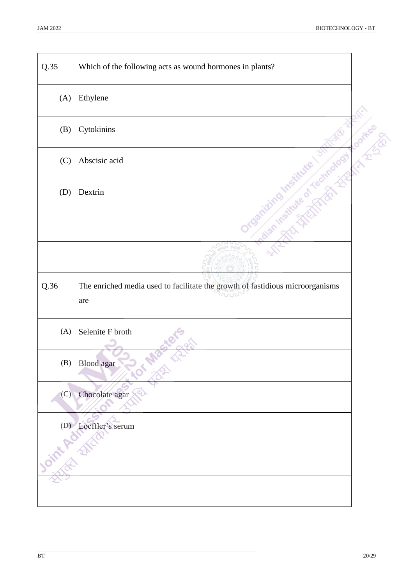| Q.35 | Which of the following acts as wound hormones in plants?                             |  |
|------|--------------------------------------------------------------------------------------|--|
| (A)  | Ethylene                                                                             |  |
| (B)  | Cytokinins                                                                           |  |
| (C)  | Abscisic acid                                                                        |  |
| (D)  | Dextrin                                                                              |  |
|      |                                                                                      |  |
|      |                                                                                      |  |
| Q.36 | The enriched media used to facilitate the growth of fastidious microorganisms<br>are |  |
| (A)  | Selenite F broth                                                                     |  |
|      | $(B)$ Blood agar                                                                     |  |
| (C)  | Chocolate agar                                                                       |  |
| (D)  | Loeffler's serum                                                                     |  |
|      |                                                                                      |  |
|      |                                                                                      |  |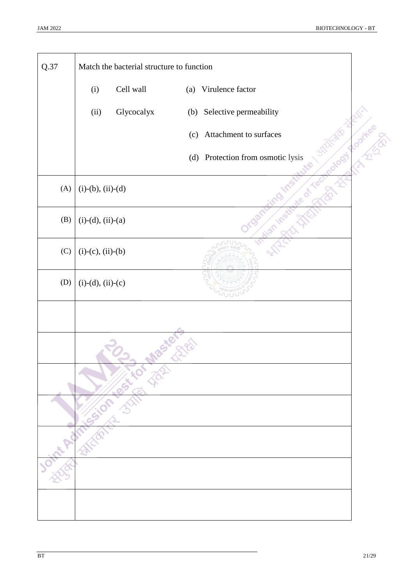| Q.37 |                     | Match the bacterial structure to function |     |                               |
|------|---------------------|-------------------------------------------|-----|-------------------------------|
|      | (i)                 | Cell wall                                 | (a) | Virulence factor              |
|      | (ii)                | Glycocalyx                                | (b) | Selective permeability        |
|      |                     |                                           | (c) | Attachment to surfaces        |
|      |                     |                                           | (d) | Protection from osmotic lysis |
| (A)  | $(i)-(b), (ii)-(d)$ |                                           |     |                               |
| (B)  | $(i)-(d), (ii)-(a)$ |                                           |     |                               |
| (C)  | $(i)-(c), (ii)-(b)$ |                                           |     |                               |
| (D)  | $(i)-(d), (ii)-(c)$ |                                           |     |                               |
|      |                     |                                           |     |                               |
|      |                     | Joint Admission & Street Max              |     |                               |
|      |                     |                                           |     |                               |
|      |                     |                                           |     |                               |
|      |                     |                                           |     |                               |
|      |                     |                                           |     |                               |
|      |                     |                                           |     |                               |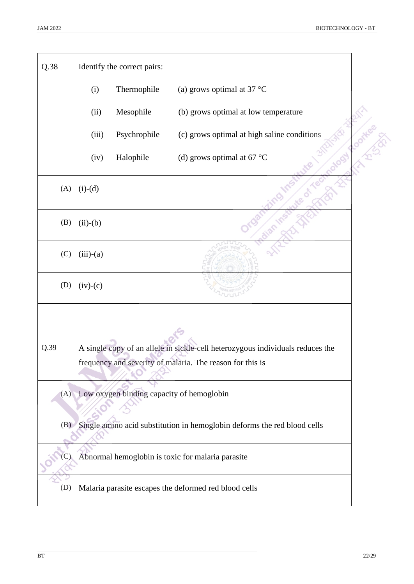| Q.38 |             | Identify the correct pairs:               |                                                                                |          |
|------|-------------|-------------------------------------------|--------------------------------------------------------------------------------|----------|
|      | (i)         | Thermophile                               | (a) grows optimal at 37 $^{\circ}$ C                                           |          |
|      | (ii)        | Mesophile                                 | (b) grows optimal at low temperature                                           |          |
|      | (iii)       | Psychrophile                              | (c) grows optimal at high saline conditions                                    | Round 20 |
|      | (iv)        | Halophile                                 | (d) grows optimal at 67 $^{\circ}$ C                                           |          |
| (A)  | $(i)-(d)$   |                                           |                                                                                |          |
| (B)  | $(ii)-(b)$  |                                           |                                                                                |          |
| (C)  | $(iii)-(a)$ |                                           |                                                                                |          |
| (D)  | $(iv)-(c)$  |                                           |                                                                                |          |
|      |             |                                           |                                                                                |          |
| Q.39 |             |                                           | A single copy of an allele in sickle-cell heterozygous individuals reduces the |          |
|      |             |                                           | frequency and severity of malaria. The reason for this is                      |          |
| (A)  |             | Low oxygen binding capacity of hemoglobin |                                                                                |          |
| (B)  |             |                                           | Single amino acid substitution in hemoglobin deforms the red blood cells       |          |
|      |             |                                           | Abnormal hemoglobin is toxic for malaria parasite                              |          |
| (D)  |             |                                           | Malaria parasite escapes the deformed red blood cells                          |          |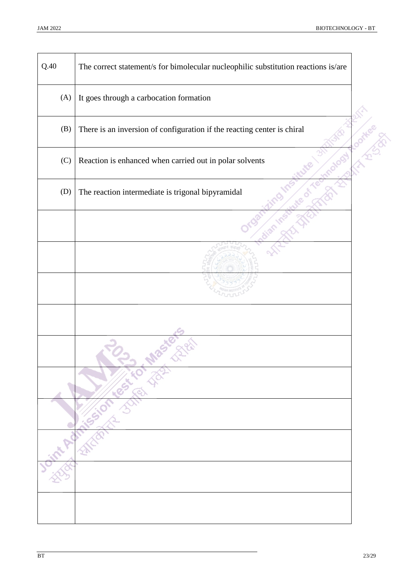| Q.40 | The correct statement/s for bimolecular nucleophilic substitution reactions is/are |  |
|------|------------------------------------------------------------------------------------|--|
| (A)  | It goes through a carbocation formation                                            |  |
| (B)  | There is an inversion of configuration if the reacting center is chiral            |  |
| (C)  | Reaction is enhanced when carried out in polar solvents                            |  |
| (D)  | The reaction intermediate is trigonal bipyramidal                                  |  |
|      |                                                                                    |  |
|      |                                                                                    |  |
|      |                                                                                    |  |
|      |                                                                                    |  |
|      | int Redmission Strip Jack                                                          |  |
|      |                                                                                    |  |
|      |                                                                                    |  |
|      |                                                                                    |  |
|      |                                                                                    |  |
|      |                                                                                    |  |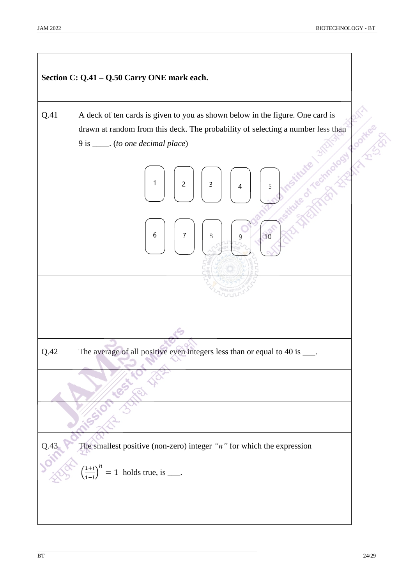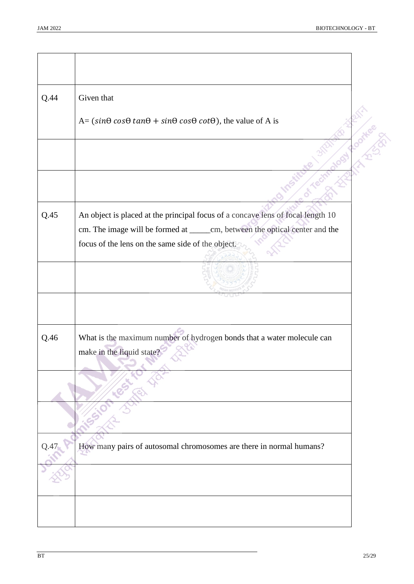| Q.44 | Given that                                                                                          |                        |
|------|-----------------------------------------------------------------------------------------------------|------------------------|
|      | $A = (\sin\theta \cos\theta \tan\theta + \sin\theta \cos\theta \cot\theta)$ , the value of A is     |                        |
|      |                                                                                                     | $\mathcal{L}^{\prime}$ |
|      |                                                                                                     |                        |
| Q.45 | An object is placed at the principal focus of a concave lens of focal length 10                     |                        |
|      | cm. The image will be formed at ______ cm, between the optical center and the                       |                        |
|      | focus of the lens on the same side of the object.                                                   |                        |
|      |                                                                                                     |                        |
|      |                                                                                                     |                        |
| Q.46 | What is the maximum number of hydrogen bonds that a water molecule can<br>make in the liquid state? |                        |
|      |                                                                                                     |                        |
|      |                                                                                                     |                        |
| Q.47 | How many pairs of autosomal chromosomes are there in normal humans?                                 |                        |
|      |                                                                                                     |                        |
|      |                                                                                                     |                        |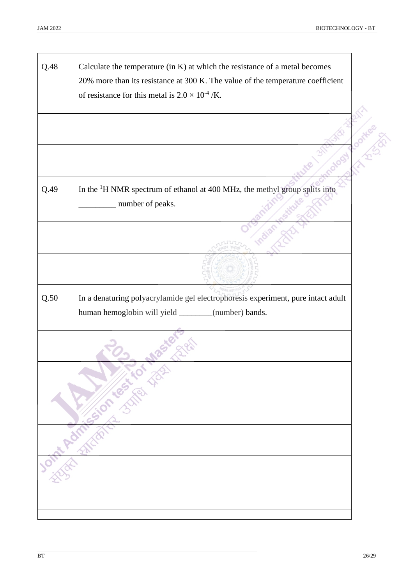| Q.48 | Calculate the temperature (in K) at which the resistance of a metal becomes<br>20% more than its resistance at 300 K. The value of the temperature coefficient<br>of resistance for this metal is $2.0 \times 10^{-4}$ /K. |    |
|------|----------------------------------------------------------------------------------------------------------------------------------------------------------------------------------------------------------------------------|----|
|      |                                                                                                                                                                                                                            | E) |
|      |                                                                                                                                                                                                                            |    |
| Q.49 | In the <sup>1</sup> H NMR spectrum of ethanol at 400 MHz, the methyl group splits into<br>number of peaks.                                                                                                                 |    |
|      |                                                                                                                                                                                                                            |    |
|      |                                                                                                                                                                                                                            |    |
| Q.50 | In a denaturing polyacrylamide gel electrophoresis experiment, pure intact adult<br>human hemoglobin will yield _______(number) bands.                                                                                     |    |
|      |                                                                                                                                                                                                                            |    |
|      |                                                                                                                                                                                                                            |    |
|      |                                                                                                                                                                                                                            |    |
|      |                                                                                                                                                                                                                            |    |
|      | School Avenues on Barres Towns                                                                                                                                                                                             |    |
|      |                                                                                                                                                                                                                            |    |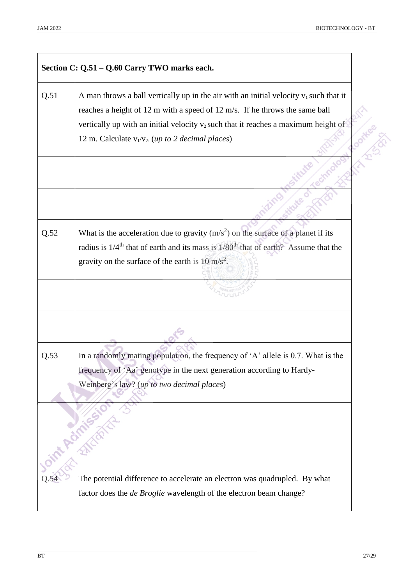|      | Section C: Q.51 - Q.60 Carry TWO marks each.                                                                |               |
|------|-------------------------------------------------------------------------------------------------------------|---------------|
| Q.51 | A man throws a ball vertically up in the air with an initial velocity $v_1$ such that it                    |               |
|      | reaches a height of 12 m with a speed of 12 m/s. If he throws the same ball                                 |               |
|      | vertically up with an initial velocity v <sub>2</sub> such that it reaches a maximum height of              |               |
|      | 12 m. Calculate $v_1/v_2$ . ( <i>up to 2 decimal places</i> )                                               | $\mathcal{L}$ |
|      |                                                                                                             |               |
|      |                                                                                                             |               |
| Q.52 | What is the acceleration due to gravity $(m/s2)$ on the surface of a planet if its                          |               |
|      | radius is 1/4 <sup>th</sup> that of earth and its mass is 1/80 <sup>th</sup> that of earth? Assume that the |               |
|      | gravity on the surface of the earth is $10 \text{ m/s}^2$ .                                                 |               |
|      |                                                                                                             |               |
|      |                                                                                                             |               |
| Q.53 | In a randomly mating population, the frequency of 'A' allele is 0.7. What is the                            |               |
|      | frequency of 'Aa' genotype in the next generation according to Hardy-                                       |               |
|      | Weinberg's law? (up to two decimal places)                                                                  |               |
|      |                                                                                                             |               |
|      |                                                                                                             |               |
|      |                                                                                                             |               |
| Q.54 | The potential difference to accelerate an electron was quadrupled. By what                                  |               |
|      | factor does the <i>de Broglie</i> wavelength of the electron beam change?                                   |               |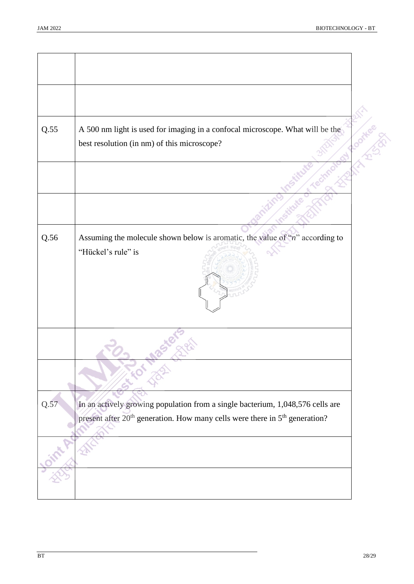| Q.55 | A 500 nm light is used for imaging in a confocal microscope. What will be the<br>best resolution (in nm) of this microscope?                                                          | $\mathbb{Z}^2$ |
|------|---------------------------------------------------------------------------------------------------------------------------------------------------------------------------------------|----------------|
|      |                                                                                                                                                                                       |                |
| Q.56 | Assuming the molecule shown below is aromatic, the value of " $n$ " according to<br>"Hückel's rule" is                                                                                |                |
|      |                                                                                                                                                                                       |                |
| Q.57 | In an actively growing population from a single bacterium, 1,048,576 cells are<br>present after 20 <sup>th</sup> generation. How many cells were there in 5 <sup>th</sup> generation? |                |
|      |                                                                                                                                                                                       |                |